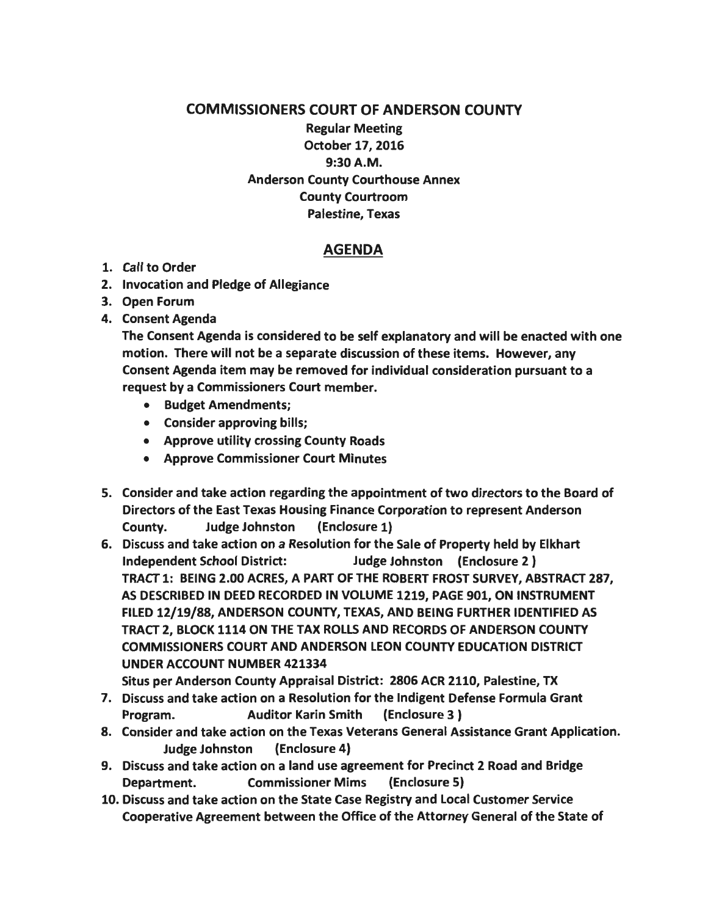## COMMISSIONERS COURT OF ANDERSON COUNTY

Regular Meeting October 17, 2016 9:30A.M. Anderson County Courthouse Annex County Courtroom Palestine, Texas

## AGENDA

- 1. Call to Order
- 2. Invocation and Pledge of Allegiance
- 3. Open Forum
- 4. Consent Agenda

The Consent Agenda is considered to be self explanatory and will be enacted with one motion. There will not be a separate discussion of these items. However, any Consent Agenda item may be removed for individual consideration pursuant to a request by a Commissioners Court member.

- Budget Amendments;
- Consider approving bills;
- Approve utility crossing County Roads
- Approve Commissioner Court Minutes
- 5. Consider and take action regarding the appointment of two directors to the Board of Directors of the East Texas Housing Finance Corporation to represent Anderson County. Judge Johnston (Enclosure 1)
- 6. Discuss and take action on a Resolution for the Sale of Property held by Elkhart Independent School District: Judge Johnston (Enclosure 2 ) TRACT 1: BEING 2.00 ACRES, A PART OF THE ROBERT FROST SURVEY, ABSTRACT 287, AS DESCRIBED IN DEED RECORDED IN VOLUME 1219, PAGE 901, ON INSTRUMENT FILED 12/19/88, ANDERSON COUNTY, TEXAS, AND BEING FURTHER IDENTIFIED AS TRACT 2, BLOCK 1114 ON THE TAX ROLLS AND RECORDS OF ANDERSON COUNTY COMMISSIONERS COURT AND ANDERSON LEON COUNTY EDUCATION DISTRICT UNDER ACCOUNT NUMBER 421334

Situs per Anderson County Appraisal District: 2806 ACR 2110, Palestine, TX

- 7. Discuss and take action on a Resolution for the Indigent Defense Formula Grant Program. Auditor Karin Smith (Enclosure 3 )
- 8. Consider and take action on the Texas Veterans General Assistance Grant Application. Judge Johnston (Enclosure 4)
- 9. Discuss and take action on a land use agreement for Precinct 2 Road and Bridge Department. Commissioner Mims (Enclosure 5)
- 10. Discuss and take action on the State Case Registry and Local Customer Service Cooperative Agreement between the Office of the Attorney General of the State of